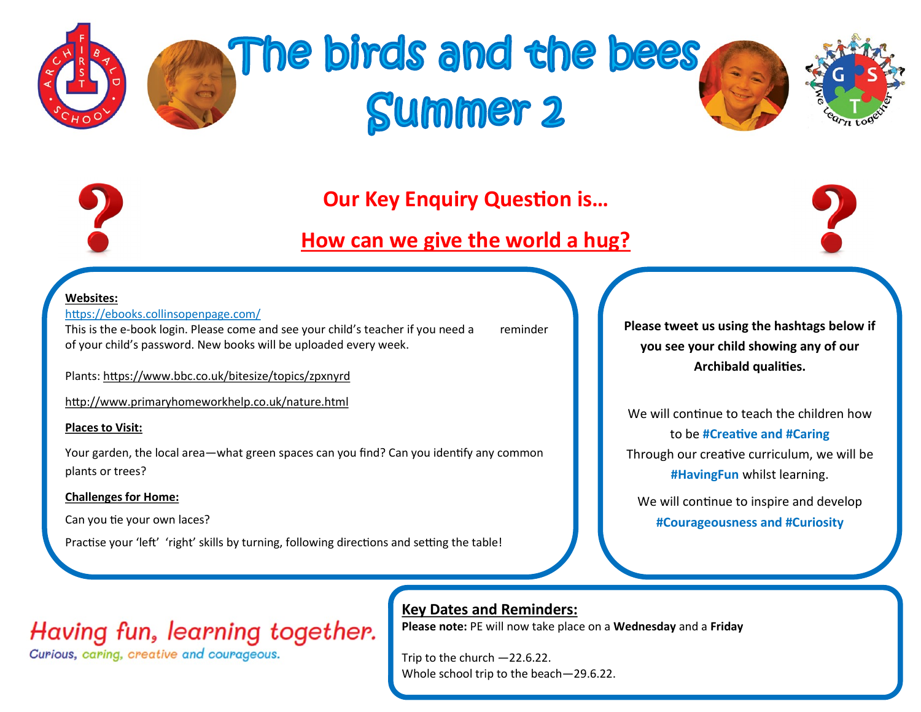

# The birds and the bees **Summer 2**





### **Our Key Enquiry Question is…**

### **How can we give the world a hug?**



#### **Websites:**

#### <https://ebooks.collinsopenpage.com/>

This is the e-book login. Please come and see your child's teacher if you need a reminder of your child's password. New books will be uploaded every week.

Plants: https://www.bbc.co.uk/bitesize/topics/zpxnyrd

http://www.primaryhomeworkhelp.co.uk/nature.html

#### **Places to Visit:**

Your garden, the local area—what green spaces can you find? Can you identify any common plants or trees?

#### **Challenges for Home:**

Can you tie your own laces?

Practise your 'left' 'right' skills by turning, following directions and setting the table!

**Please tweet us using the hashtags below if you see your child showing any of our Archibald qualities.**

We will continue to teach the children how to be **#Creative and #Caring** Through our creative curriculum, we will be **#HavingFun** whilst learning.

We will continue to inspire and develop **#Courageousness and #Curiosity**

## Having fun, learning together.

Curious, caring, creative and courageous.

#### **Key Dates and Reminders:**

**Please note:** PE will now take place on a **Wednesday** and a **Friday**

Trip to the church —22.6.22. Whole school trip to the beach—29.6.22.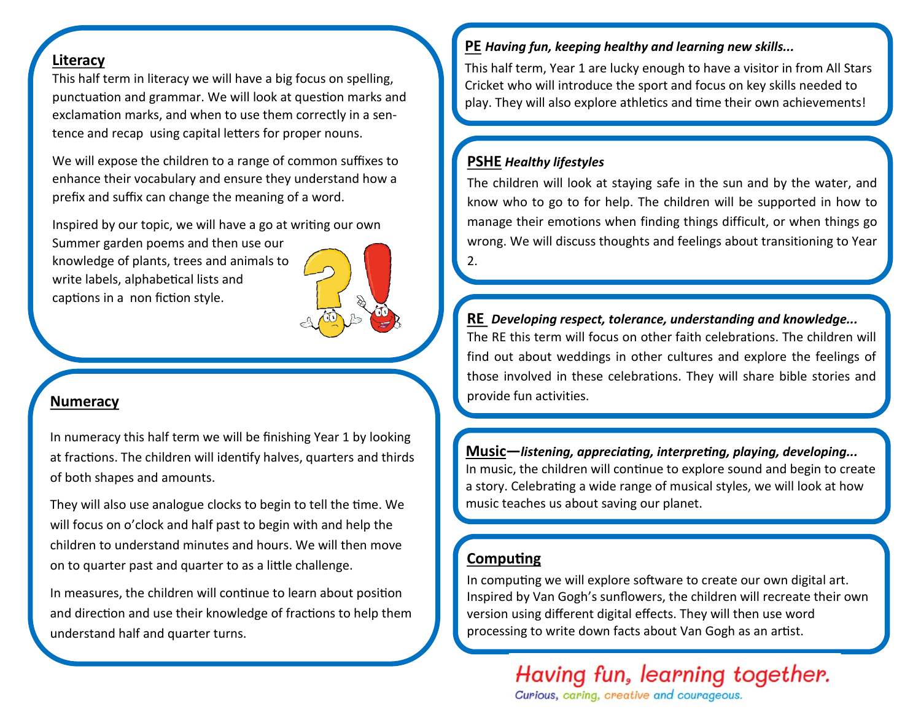#### **Literacy**

This half term in literacy we will have a big focus on spelling, punctuation and grammar. We will look at question marks and exclamation marks, and when to use them correctly in a sentence and recap using capital letters for proper nouns.

We will expose the children to a range of common suffixes to enhance their vocabulary and ensure they understand how a prefix and suffix can change the meaning of a word.

Inspired by our topic, we will have a go at writing our own

Summer garden poems and then use our knowledge of plants, trees and animals to write labels, alphabetical lists and captions in a non fiction style.

#### **Numeracy**

In numeracy this half term we will be finishing Year 1 by looking at fractions. The children will identify halves, quarters and thirds of both shapes and amounts.

They will also use analogue clocks to begin to tell the time. We will focus on o'clock and half past to begin with and help the children to understand minutes and hours. We will then move on to quarter past and quarter to as a little challenge.

In measures, the children will continue to learn about position and direction and use their knowledge of fractions to help them understand half and quarter turns.

#### **PE** *Having fun, keeping healthy and learning new skills...*

This half term, Year 1 are lucky enough to have a visitor in from All Stars Cricket who will introduce the sport and focus on key skills needed to play. They will also explore athletics and time their own achievements!

#### **PSHE** *Healthy lifestyles*

The children will look at staying safe in the sun and by the water, and know who to go to for help. The children will be supported in how to manage their emotions when finding things difficult, or when things go wrong. We will discuss thoughts and feelings about transitioning to Year 2.

**RE** *Developing respect, tolerance, understanding and knowledge...* The RE this term will focus on other faith celebrations. The children will find out about weddings in other cultures and explore the feelings of those involved in these celebrations. They will share bible stories and provide fun activities.

**Music—***listening, appreciating, interpreting, playing, developing...* In music, the children will continue to explore sound and begin to create a story. Celebrating a wide range of musical styles, we will look at how music teaches us about saving our planet.

#### **Computing**

In computing we will explore software to create our own digital art. Inspired by Van Gogh's sunflowers, the children will recreate their own version using different digital effects. They will then use word processing to write down facts about Van Gogh as an artist.

## Having fun, learning together.

Curious, caring, creative and courageous.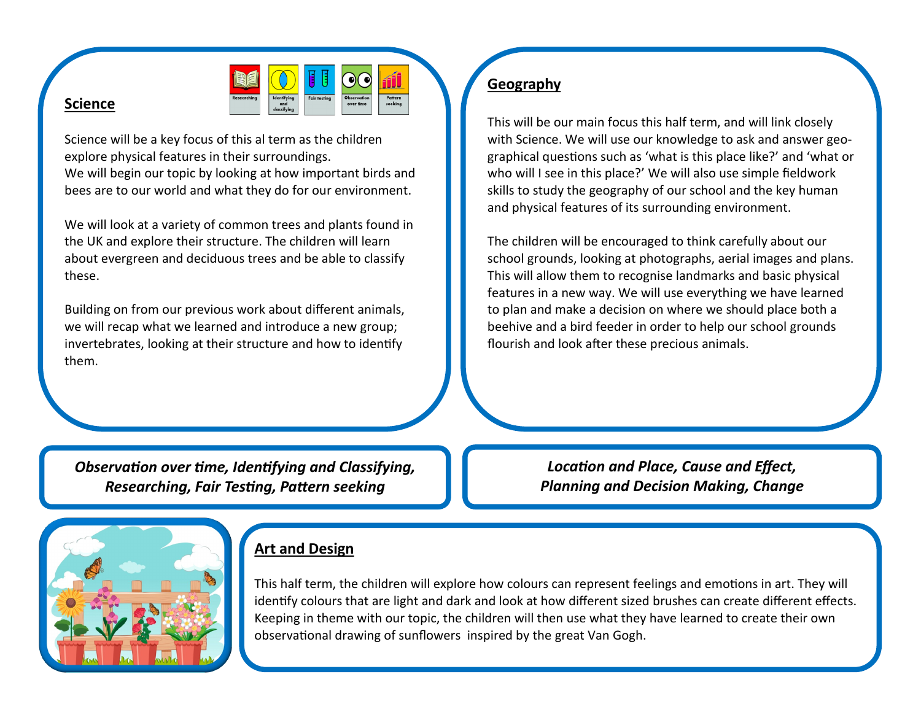

#### **Science**

Science will be a key focus of this al term as the children explore physical features in their surroundings. We will begin our topic by looking at how important birds and bees are to our world and what they do for our environment.

We will look at a variety of common trees and plants found in the UK and explore their structure. The children will learn about evergreen and deciduous trees and be able to classify these.

Building on from our previous work about different animals, we will recap what we learned and introduce a new group; invertebrates, looking at their structure and how to identify them.

#### **Geography**

This will be our main focus this half term, and will link closely with Science. We will use our knowledge to ask and answer geographical questions such as 'what is this place like?' and 'what or who will I see in this place?' We will also use simple fieldwork skills to study the geography of our school and the key human and physical features of its surrounding environment.

The children will be encouraged to think carefully about our school grounds, looking at photographs, aerial images and plans. This will allow them to recognise landmarks and basic physical features in a new way. We will use everything we have learned to plan and make a decision on where we should place both a beehive and a bird feeder in order to help our school grounds flourish and look after these precious animals.

*Observation over time, Identifying and Classifying, Researching, Fair Testing, Pattern seeking*

*Location and Place, Cause and Effect, Planning and Decision Making, Change*



#### **Art and Design**

This half term, the children will explore how colours can represent feelings and emotions in art. They will identify colours that are light and dark and look at how different sized brushes can create different effects. Keeping in theme with our topic, the children will then use what they have learned to create their own observational drawing of sunflowers inspired by the great Van Gogh.